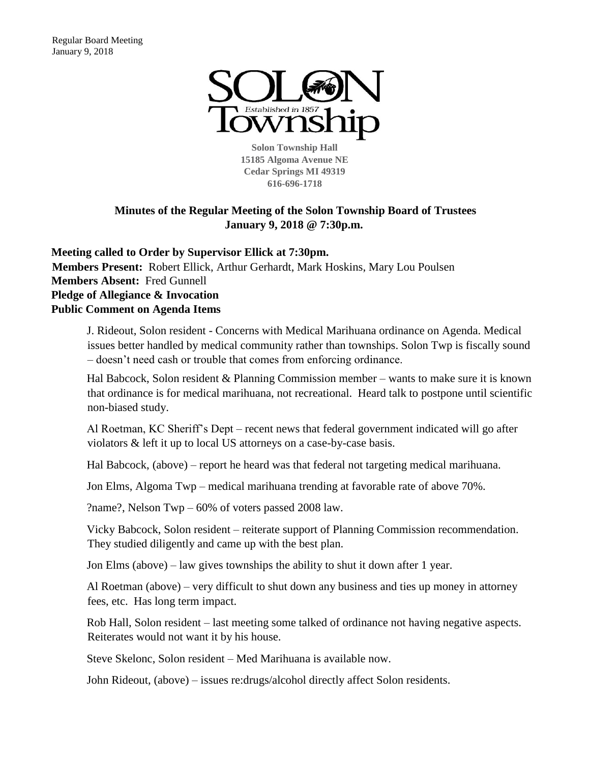

**Solon Township Hall 15185 Algoma Avenue NE Cedar Springs MI 49319 616-696-1718** 

# **Minutes of the Regular Meeting of the Solon Township Board of Trustees January 9, 2018 @ 7:30p.m.**

**Meeting called to Order by Supervisor Ellick at 7:30pm. Members Present:** Robert Ellick, Arthur Gerhardt, Mark Hoskins, Mary Lou Poulsen **Members Absent:** Fred Gunnell **Pledge of Allegiance & Invocation Public Comment on Agenda Items**

J. Rideout, Solon resident - Concerns with Medical Marihuana ordinance on Agenda. Medical issues better handled by medical community rather than townships. Solon Twp is fiscally sound – doesn't need cash or trouble that comes from enforcing ordinance.

Hal Babcock, Solon resident & Planning Commission member – wants to make sure it is known that ordinance is for medical marihuana, not recreational. Heard talk to postpone until scientific non-biased study.

Al Roetman, KC Sheriff's Dept – recent news that federal government indicated will go after violators & left it up to local US attorneys on a case-by-case basis.

Hal Babcock, (above) – report he heard was that federal not targeting medical marihuana.

Jon Elms, Algoma Twp – medical marihuana trending at favorable rate of above 70%.

?name?, Nelson Twp – 60% of voters passed 2008 law.

Vicky Babcock, Solon resident – reiterate support of Planning Commission recommendation. They studied diligently and came up with the best plan.

Jon Elms (above) – law gives townships the ability to shut it down after 1 year.

Al Roetman (above) – very difficult to shut down any business and ties up money in attorney fees, etc. Has long term impact.

Rob Hall, Solon resident – last meeting some talked of ordinance not having negative aspects. Reiterates would not want it by his house.

Steve Skelonc, Solon resident – Med Marihuana is available now.

John Rideout, (above) – issues re:drugs/alcohol directly affect Solon residents.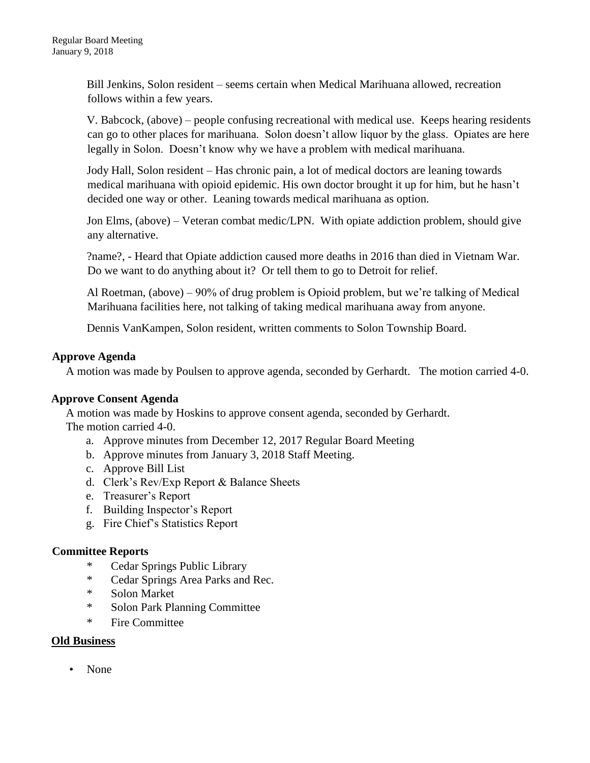Bill Jenkins, Solon resident – seems certain when Medical Marihuana allowed, recreation follows within a few years.

V. Babcock, (above) – people confusing recreational with medical use. Keeps hearing residents can go to other places for marihuana. Solon doesn't allow liquor by the glass. Opiates are here legally in Solon. Doesn't know why we have a problem with medical marihuana.

Jody Hall, Solon resident – Has chronic pain, a lot of medical doctors are leaning towards medical marihuana with opioid epidemic. His own doctor brought it up for him, but he hasn't decided one way or other. Leaning towards medical marihuana as option.

Jon Elms, (above) – Veteran combat medic/LPN. With opiate addiction problem, should give any alternative.

?name?, - Heard that Opiate addiction caused more deaths in 2016 than died in Vietnam War. Do we want to do anything about it? Or tell them to go to Detroit for relief.

Al Roetman, (above) – 90% of drug problem is Opioid problem, but we're talking of Medical Marihuana facilities here, not talking of taking medical marihuana away from anyone.

Dennis VanKampen, Solon resident, written comments to Solon Township Board.

## **Approve Agenda**

A motion was made by Poulsen to approve agenda, seconded by Gerhardt. The motion carried 4-0.

## **Approve Consent Agenda**

A motion was made by Hoskins to approve consent agenda, seconded by Gerhardt. The motion carried 4-0.

- a. Approve minutes from December 12, 2017 Regular Board Meeting
- b. Approve minutes from January 3, 2018 Staff Meeting.
- c. Approve Bill List
- d. Clerk's Rev/Exp Report & Balance Sheets
- e. Treasurer's Report
- f. Building Inspector's Report
- g. Fire Chief's Statistics Report

## **Committee Reports**

- \* Cedar Springs Public Library
- \* Cedar Springs Area Parks and Rec.
- \* Solon Market
- \* Solon Park Planning Committee
- \* Fire Committee

## **Old Business**

• None